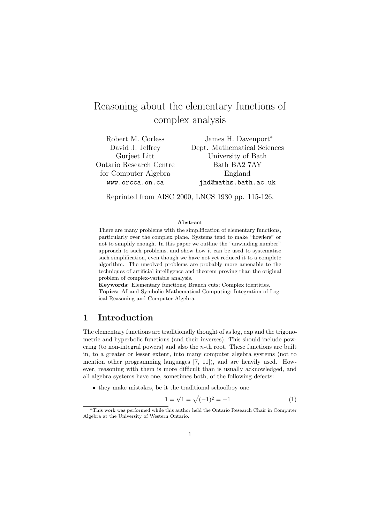# Reasoning about the elementary functions of complex analysis

Robert M. Corless David J. Jeffrey Gurjeet Litt Ontario Research Centre for Computer Algebra www.orcca.on.ca

James H. Davenport<sup>∗</sup> Dept. Mathematical Sciences University of Bath Bath BA2 7AY England jhd@maths.bath.ac.uk

Reprinted from AISC 2000, LNCS 1930 pp. 115-126.

#### Abstract

There are many problems with the simplification of elementary functions, particularly over the complex plane. Systems tend to make "howlers" or not to simplify enough. In this paper we outline the "unwinding number" approach to such problems, and show how it can be used to systematise such simplification, even though we have not yet reduced it to a complete algorithm. The unsolved problems are probably more amenable to the techniques of artificial intelligence and theorem proving than the original problem of complex-variable analysis.

Keywords: Elementary functions; Branch cuts; Complex identities. Topics: AI and Symbolic Mathematical Computing; Integration of Logical Reasoning and Computer Algebra.

### 1 Introduction

The elementary functions are traditionally thought of as log, exp and the trigonometric and hyperbolic functions (and their inverses). This should include powering (to non-integral powers) and also the n-th root. These functions are built in, to a greater or lesser extent, into many computer algebra systems (not to mention other programming languages [7, 11]), and are heavily used. However, reasoning with them is more difficult than is usually acknowledged, and all algebra systems have one, sometimes both, of the following defects:

• they make mistakes, be it the traditional schoolboy one

$$
1 = \sqrt{1} = \sqrt{(-1)^2} = -1
$$
 (1)

<sup>∗</sup>This work was performed while this author held the Ontario Research Chair in Computer Algebra at the University of Western Ontario.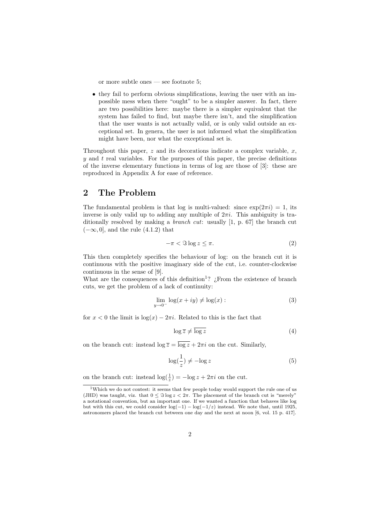or more subtle ones — see footnote 5;

• they fail to perform obvious simplifications, leaving the user with an impossible mess when there "ought" to be a simpler answer. In fact, there are two possibilities here: maybe there is a simpler equivalent that the system has failed to find, but maybe there isn't, and the simplification that the user wants is not actually valid, or is only valid outside an exceptional set. In genera, the user is not informed what the simplification might have been, nor what the exceptional set is.

Throughout this paper,  $z$  and its decorations indicate a complex variable,  $x$ ,  $y$  and  $t$  real variables. For the purposes of this paper, the precise definitions of the inverse elementary functions in terms of log are those of [3]: these are reproduced in Appendix A for ease of reference.

### 2 The Problem

The fundamental problem is that log is multi-valued: since  $\exp(2\pi i) = 1$ , its inverse is only valid up to adding any multiple of  $2\pi i$ . This ambiguity is traditionally resolved by making a *branch cut*: usually [1, p. 67] the branch cut  $(-\infty, 0]$ , and the rule  $(4.1.2)$  that

$$
-\pi < \Im \log z \le \pi. \tag{2}
$$

This then completely specifies the behaviour of log: on the branch cut it is continuous with the positive imaginary side of the cut, i.e. counter-clockwise continuous in the sense of [9].

What are the consequences of this definition<sup>1</sup>?  $\chi$ From the existence of branch cuts, we get the problem of a lack of continuity:

$$
\lim_{y \to 0^-} \log(x + iy) \neq \log(x) : \tag{3}
$$

for  $x < 0$  the limit is  $log(x) - 2\pi i$ . Related to this is the fact that

$$
\log \overline{z} \neq \overline{\log z} \tag{4}
$$

on the branch cut: instead  $\log \overline{z} = \overline{\log z} + 2\pi i$  on the cut. Similarly,

$$
\log(\frac{1}{z}) \neq -\log z \tag{5}
$$

on the branch cut: instead  $\log(\frac{1}{z}) = -\log z + 2\pi i$  on the cut.

<sup>1</sup>Which we do not contest: it seems that few people today would support the rule one of us (JHD) was taught, viz. that  $0 \leq \Im \log z < 2\pi$ . The placement of the branch cut is "merely" a notational convention, but an important one. If we wanted a function that behaves like log but with this cut, we could consider  $\log(-1) - \log(-1/z)$  instead. We note that, until 1925, astronomers placed the branch cut between one day and the next at noon [6, vol. 15 p. 417].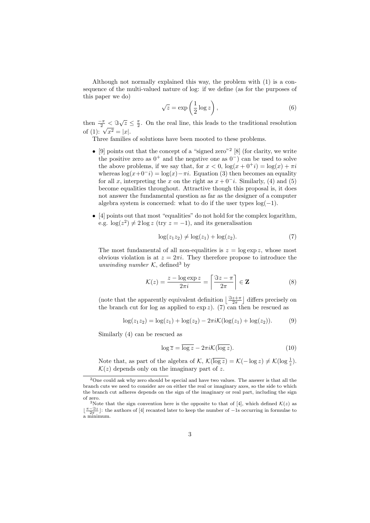Although not normally explained this way, the problem with (1) is a consequence of the multi-valued nature of log: if we define (as for the purposes of this paper we do)

$$
\sqrt{z} = \exp\left(\frac{1}{2}\log z\right),\tag{6}
$$

then  $\frac{-\pi}{2} \leq \Im \sqrt{z} \leq \frac{\pi}{2}$ . On the real line, this leads to the traditional resolution of (1):  $\sqrt{x^2} = |x|$ .

Three families of solutions have been mooted to these problems.

- [9] points out that the concept of a "signed zero"<sup>2</sup> [8] (for clarity, we write the positive zero as  $0^+$  and the negative one as  $0^-$ ) can be used to solve the above problems, if we say that, for  $x < 0$ ,  $\log(x + 0^+i) = \log(x) + \pi i$ whereas  $\log(x+0^-i) = \log(x)-\pi i$ . Equation (3) then becomes an equality for all x, interpreting the x on the right as  $x + 0<sup>-i</sup>$ . Similarly, (4) and (5) become equalities throughout. Attractive though this proposal is, it does not answer the fundamental question as far as the designer of a computer algebra system is concerned: what to do if the user types  $log(-1)$ .
- $\bullet$  [4] points out that most "equalities" do not hold for the complex logarithm, e.g.  $\log(z^2) \neq 2 \log z$  (try  $z = -1$ ), and its generalisation

$$
\log(z_1 z_2) \neq \log(z_1) + \log(z_2). \tag{7}
$$

The most fundamental of all non-equalities is  $z = \log \exp z$ , whose most obvious violation is at  $z = 2\pi i$ . They therefore propose to introduce the unwinding number  $K$ , defined<sup>3</sup> by

$$
\mathcal{K}(z) = \frac{z - \log \exp z}{2\pi i} = \left\lceil \frac{\Im z - \pi}{2\pi} \right\rceil \in \mathbf{Z}
$$
 (8)

(note that the apparently equivalent definition  $\left\lfloor \frac{\Im z + \pi}{2\pi} \right\rfloor$  differs precisely on the branch cut for log as applied to  $\exp z$ ). (7) can then be rescued as

$$
\log(z_1 z_2) = \log(z_1) + \log(z_2) - 2\pi i \mathcal{K}(\log(z_1) + \log(z_2)).
$$
 (9)

Similarly (4) can be rescued as

$$
\log \overline{z} = \overline{\log z} - 2\pi i \mathcal{K}(\overline{\log z}).\tag{10}
$$

Note that, as part of the algebra of K,  $\mathcal{K}(\overline{\log z}) = \mathcal{K}(-\log z) \neq \mathcal{K}(\log \frac{1}{z}).$  $\mathcal{K}(z)$  depends only on the imaginary part of z.

<sup>2</sup>One could ask why zero should be special and have two values. The answer is that all the branch cuts we need to consider are on either the real or imaginary axes, so the side to which the branch cut adheres depends on the sign of the imaginary or real part, including the sign of zero.

<sup>&</sup>lt;sup>3</sup>Note that the sign convention here is the opposite to that of [4], which defined  $\mathcal{K}(z)$  as  $\lfloor \frac{\pi-3z}{2\pi} \rfloor$ : the authors of [4] recanted later to keep the number of −1s occurring in formulae to a minimum.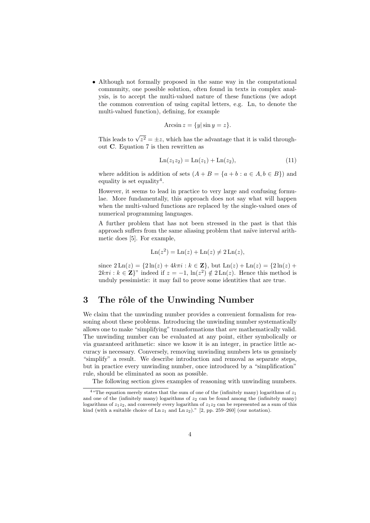• Although not formally proposed in the same way in the computational community, one possible solution, often found in texts in complex analysis, is to accept the multi-valued nature of these functions (we adopt the common convention of using capital letters, e.g. Ln, to denote the multi-valued function), defining, for example

$$
Arc\sin z = \{y|\sin y = z\}.
$$

This leads to  $\sqrt{z^2} = \pm z$ , which has the advantage that it is valid throughout C. Equation 7 is then rewritten as

$$
Ln(z_1 z_2) = Ln(z_1) + Ln(z_2),
$$
\n(11)

where addition is addition of sets  $(A + B = \{a + b : a \in A, b \in B\})$  and equality is set equality<sup>4</sup>.

However, it seems to lead in practice to very large and confusing formulae. More fundamentally, this approach does not say what will happen when the multi-valued functions are replaced by the single-valued ones of numerical programming languages.

A further problem that has not been stressed in the past is that this approach suffers from the same aliasing problem that naïve interval arithmetic does [5]. For example,

$$
\operatorname{Ln}(z^2) = \operatorname{Ln}(z) + \operatorname{Ln}(z) \neq 2\operatorname{Ln}(z),
$$

since  $2 \text{Ln}(z) = \{2 \ln(z) + 4k\pi i : k \in \mathbb{Z}\}, \text{ but } \text{Ln}(z) + \text{Ln}(z) = \{2 \ln(z) + 4k\pi i : k \in \mathbb{Z}\}.$  $2k\pi i : k \in \mathbb{Z}^n$  indeed if  $z = -1$ ,  $\ln(z^2) \notin 2\operatorname{Ln}(z)$ . Hence this method is unduly pessimistic: it may fail to prove some identities that are true.

### 3 The rôle of the Unwinding Number

We claim that the unwinding number provides a convenient formalism for reasoning about these problems. Introducing the unwinding number systematically allows one to make "simplifying" transformations that are mathematically valid. The unwinding number can be evaluated at any point, either symbolically or via guaranteed arithmetic: since we know it is an integer, in practice little accuracy is necessary. Conversely, removing unwinding numbers lets us genuinely "simplify" a result. We describe introduction and removal as separate steps, but in practice every unwinding number, once introduced by a "simplification" rule, should be eliminated as soon as possible.

The following section gives examples of reasoning with unwinding numbers.

<sup>&</sup>lt;sup>4</sup> "The equation merely states that the sum of one of the (infinitely many) logarithms of  $z_1$ and one of the (infinitely many) logarithms of  $z_2$  can be found among the (infinitely many) logarithms of  $z_1z_2$ , and conversely every logarithm of  $z_1z_2$  can be represented as a sum of this kind (with a suitable choice of  $\text{Ln } z_1$  and  $\text{Ln } z_2$ )." [2, pp. 259–260] (our notation).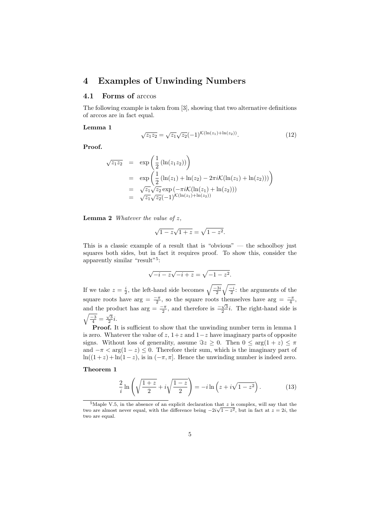### 4 Examples of Unwinding Numbers

### 4.1 Forms of arccos

The following example is taken from [3], showing that two alternative definitions of arccos are in fact equal.

#### Lemma 1

$$
\sqrt{z_1 z_2} = \sqrt{z_1} \sqrt{z_2} (-1)^{\mathcal{K}(\ln(z_1) + \ln(z_2))}.
$$
 (12)

Proof.

$$
\sqrt{z_1 z_2} = \exp\left(\frac{1}{2} (\ln(z_1 z_2))\right)
$$
  
= 
$$
\exp\left(\frac{1}{2} (\ln(z_1) + \ln(z_2) - 2\pi i \mathcal{K}(\ln(z_1) + \ln(z_2))))\right)
$$
  
= 
$$
\sqrt{z_1} \sqrt{z_2} \exp(-\pi i \mathcal{K}(\ln(z_1) + \ln(z_2)))
$$
  
= 
$$
\sqrt{z_1} \sqrt{z_2} (-1)^{\mathcal{K}(\ln(z_1) + \ln(z_2))}
$$

**Lemma 2** Whatever the value of  $z$ .

$$
\sqrt{1-z}\sqrt{1+z} = \sqrt{1-z^2}.
$$

This is a classic example of a result that is "obvious" — the schoolboy just squares both sides, but in fact it requires proof. To show this, consider the apparently similar "result"<sup>5</sup>:

$$
\sqrt{-i-z}\sqrt{-i+z} = \sqrt{-1-z^2}.
$$

If we take  $z = \frac{i}{2}$ , the left-hand side becomes  $\sqrt{\frac{-3i}{2}} \sqrt{\frac{-i}{2}}$ : the arguments of the square roots have arg =  $\frac{-\pi}{2}$ , so the square roots themselves have arg =  $\frac{-\pi}{4}$ , and the product has  $\arg = \frac{-\pi}{2}$ , and therefore is  $\frac{-\sqrt{3}}{2}i$ . The right-hand side is  $\sqrt{\frac{-3}{4}} = \frac{\sqrt{3}}{2}i.$ 

Proof. It is sufficient to show that the unwinding number term in lemma 1 is zero. Whatever the value of  $z$ ,  $1+z$  and  $1-z$  have imaginary parts of opposite signs. Without loss of generality, assume  $\Im z \geq 0$ . Then  $0 \leq \arg(1 + z) \leq \pi$ and  $-\pi < \arg(1-z) \leq 0$ . Therefore their sum, which is the imaginary part of ln( $(1+z)$  + ln( $1-z$ ), is in  $(-\pi, \pi]$ . Hence the unwinding number is indeed zero.

### Theorem 1

$$
\frac{2}{i}\ln\left(\sqrt{\frac{1+z}{2}}+i\sqrt{\frac{1-z}{2}}\right) = -i\ln\left(z+i\sqrt{1-z^2}\right). \tag{13}
$$

<sup>&</sup>lt;sup>5</sup>Maple V.5, in the absence of an explicit declaration that z is complex, will say that the two are almost never equal, with the difference being  $-2i\sqrt{1-z^2}$ , but in fact at  $z=2i$ , the two are equal.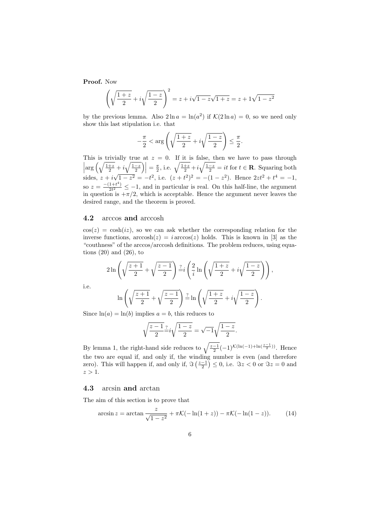Proof. Now

$$
\left(\sqrt{\frac{1+z}{2}} + i\sqrt{\frac{1-z}{2}}\right)^2 = z + i\sqrt{1-z}\sqrt{1+z} = z + i\sqrt{1-z^2}
$$

by the previous lemma. Also  $2 \ln a = \ln(a^2)$  if  $\mathcal{K}(2 \ln a) = 0$ , so we need only show this last stipulation i.e. that

$$
-\frac{\pi}{2} < \arg\left(\sqrt{\frac{1+z}{2}} + i\sqrt{\frac{1-z}{2}}\right) \le \frac{\pi}{2}.
$$

This is trivially true at  $z = 0$ . If it is false, then we have to pass through  $\left|\arg\left(\sqrt{\frac{1+z}{2}}+i\sqrt{\frac{1-z}{2}}\right)\right|=\frac{\pi}{2}$ , i.e.  $\sqrt{\frac{1+z}{2}}+i\sqrt{\frac{1-z}{2}}=it$  for  $t \in \mathbf{R}$ . Squaring both sides,  $z + i$ √  $\overline{1-z^2} = -t^2$ , i.e.  $(z+t^2)^2 = -(1-z^2)$ . Hence  $2zt^2+t^4 = -1$ , so  $z = \frac{-(1+t^4)}{2t^2}$  $\frac{1+t}{2t^2} \leq -1$ , and in particular is real. On this half-line, the argument in question is  $+\pi/2$ , which is acceptable. Hence the argument never leaves the desired range, and the theorem is proved.

#### 4.2 arccos and arccosh

 $\cos(z) = \cosh(iz)$ , so we can ask whether the corresponding relation for the inverse functions,  $arccosh(z) = i \arccos(z)$  holds. This is known in [3] as the "couthness" of the arccos/arccosh definitions. The problem reduces, using equations  $(20)$  and  $(26)$ , to

$$
2\ln\left(\sqrt{\frac{z+1}{2}}+\sqrt{\frac{z-1}{2}}\right)\frac{z}{z}i\left(\frac{2}{i}\ln\left(\sqrt{\frac{1+z}{2}}+i\sqrt{\frac{1-z}{2}}\right)\right),\right)
$$

i.e.

$$
\ln\left(\sqrt{\frac{z+1}{2}}+\sqrt{\frac{z-1}{2}}\right)\frac{z}{z}\ln\left(\sqrt{\frac{1+z}{2}}+i\sqrt{\frac{1-z}{2}}\right).
$$

Since  $ln(a) = ln(b)$  implies  $a = b$ , this reduces to

$$
\sqrt{\frac{z-1}{2}}\frac{z}{z}i\sqrt{\frac{1-z}{2}}=\sqrt{-1}\sqrt{\frac{1-z}{2}}.
$$

By lemma 1, the right-hand side reduces to  $\sqrt{\frac{z-1}{2}}(-1)^{\mathcal{K}(\ln(-1)+\ln(\frac{z-1}{2}))}$ . Hence the two are equal if, and only if, the winding number is even (and therefore zero). This will happen if, and only if,  $\Im\left(\frac{z-1}{2}\right) \leq 0$ , i.e.  $\Im z < 0$  or  $\Im z = 0$  and  $z > 1$ .

#### 4.3 arcsin and arctan

The aim of this section is to prove that

$$
\arcsin z = \arctan \frac{z}{\sqrt{1 - z^2}} + \pi \mathcal{K}(-\ln(1 + z)) - \pi \mathcal{K}(-\ln(1 - z)). \tag{14}
$$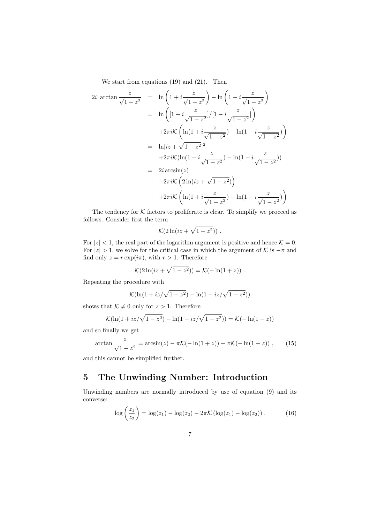We start from equations (19) and (21). Then

$$
2i \arctan \frac{z}{\sqrt{1-z^2}} = \ln \left(1 + i\frac{z}{\sqrt{1-z^2}}\right) - \ln \left(1 - i\frac{z}{\sqrt{1-z^2}}\right)
$$
  
\n
$$
= \ln \left( [1 + i\frac{z}{\sqrt{1-z^2}}]/[1 - i\frac{z}{\sqrt{1-z^2}}] \right)
$$
  
\n
$$
+ 2\pi i \mathcal{K} \left( \ln(1 + i\frac{z}{\sqrt{1-z^2}}) - \ln(1 - i\frac{z}{\sqrt{1-z^2}}) \right)
$$
  
\n
$$
= \ln[iz + \sqrt{1-z^2}]^2
$$
  
\n
$$
+ 2\pi i \mathcal{K} (\ln(1 + i\frac{z}{\sqrt{1-z^2}}) - \ln(1 - i\frac{z}{\sqrt{1-z^2}}))
$$
  
\n
$$
= 2i \arcsin(z)
$$
  
\n
$$
-2\pi i \mathcal{K} \left( 2\ln(iz + \sqrt{1-z^2}) \right)
$$
  
\n
$$
+ 2\pi i \mathcal{K} \left( \ln(1 + i\frac{z}{\sqrt{1-z^2}}) - \ln(1 - i\frac{z}{\sqrt{1-z^2}}) \right)
$$

The tendency for  $K$  factors to proliferate is clear. To simplify we proceed as follows. Consider first the term

$$
\mathcal{K}(2\ln(iz+\sqrt{1-z^2}))\ .
$$

For  $|z| < 1$ , the real part of the logarithm argument is positive and hence  $\mathcal{K} = 0$ . For  $|z| > 1$ , we solve for the critical case in which the argument of K is  $-\pi$  and find only  $z = r \exp(i\pi)$ , with  $r > 1$ . Therefore

$$
\mathcal{K}(2\ln(iz+\sqrt{1-z^2})) = \mathcal{K}(-\ln(1+z))
$$
.

Repeating the procedure with

$$
\mathcal{K}(\ln(1+iz/\sqrt{1-z^2}) - \ln(1-iz/\sqrt{1-z^2}))
$$

shows that  $\mathcal{K} \neq 0$  only for  $z > 1$ . Therefore

$$
\mathcal{K}(\ln(1+iz/\sqrt{1-z^2}) - \ln(1-iz/\sqrt{1-z^2})) = \mathcal{K}(-\ln(1-z))
$$

and so finally we get

$$
\arctan\frac{z}{\sqrt{1-z^2}} = \arcsin(z) - \pi \mathcal{K}(-\ln(1+z)) + \pi \mathcal{K}(-\ln(1-z)) ,\qquad (15)
$$

and this cannot be simplified further.

## 5 The Unwinding Number: Introduction

Unwinding numbers are normally introduced by use of equation (9) and its converse:

$$
\log\left(\frac{z_1}{z_2}\right) = \log(z_1) - \log(z_2) - 2\pi \mathcal{K}\left(\log(z_1) - \log(z_2)\right). \tag{16}
$$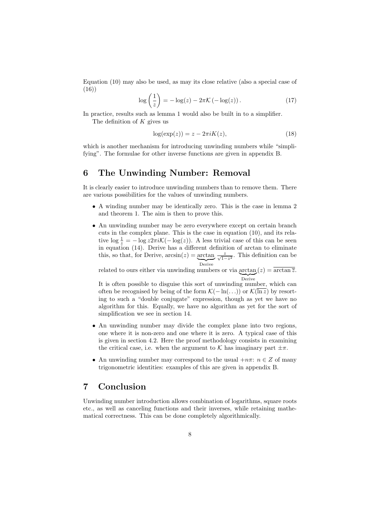Equation (10) may also be used, as may its close relative (also a special case of (16))

$$
\log\left(\frac{1}{z}\right) = -\log(z) - 2\pi \mathcal{K}\left(-\log(z)\right). \tag{17}
$$

In practice, results such as lemma 1 would also be built in to a simplifier.

The definition of  $K$  gives us

$$
log(exp(z)) = z - 2\pi i K(z),\tag{18}
$$

which is another mechanism for introducing unwinding numbers while "simplifying". The formulae for other inverse functions are given in appendix B.

## 6 The Unwinding Number: Removal

It is clearly easier to introduce unwinding numbers than to remove them. There are various possibilities for the values of unwinding numbers.

- A winding number may be identically zero. This is the case in lemma 2 and theorem 1. The aim is then to prove this.
- An unwinding number may be zero everywhere except on certain branch cuts in the complex plane. This is the case in equation (10), and its relative  $\log \frac{1}{z} = -\log z 2\pi i \mathcal{K}(-\log(z))$ . A less trivial case of this can be seen in equation (14). Derive has a different definition of arctan to eliminate this, so that, for Derive,  $arcsin(z) = \frac{arctan}{\sqrt{1-z^2}}$ . This definition can be Derive

related to ours either via unwinding numbers or via  $\arctan(z) = \overline{\arctan \overline{z}}$ . Derive

It is often possible to disguise this sort of unwinding number, which can often be recognised by being of the form  $\mathcal{K}(-\ln(\ldots))$  or  $\mathcal{K}(\overline{\ln z})$  by resorting to such a "double conjugate" expression, though as yet we have no algorithm for this. Equally, we have no algorithm as yet for the sort of simplification we see in section 14.

- An unwinding number may divide the complex plane into two regions, one where it is non-zero and one where it is zero. A typical case of this is given in section 4.2. Here the proof methodology consists in examining the critical case, i.e. when the argument to K has imaginary part  $\pm \pi$ .
- An unwinding number may correspond to the usual  $+n\pi$ :  $n \in \mathbb{Z}$  of many trigonometric identities: examples of this are given in appendix B.

### 7 Conclusion

Unwinding number introduction allows combination of logarithms, square roots etc., as well as canceling functions and their inverses, while retaining mathematical correctness. This can be done completely algorithmically.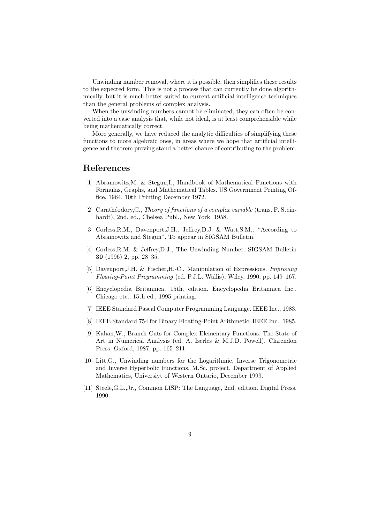Unwinding number removal, where it is possible, then simplifies these results to the expected form. This is not a process that can currently be done algorithmically, but it is much better suited to current artificial intelligence techniques than the general problems of complex analysis.

When the unwinding numbers cannot be eliminated, they can often be converted into a case analysis that, while not ideal, is at least comprehensible while being mathematically correct.

More generally, we have reduced the analytic difficulties of simplifying these functions to more algebraic ones, in areas where we hope that artificial intelligence and theorem proving stand a better chance of contributing to the problem.

### References

- [1] Abramowitz,M. & Stegun,I., Handbook of Mathematical Functions with Formulas, Graphs, and Mathematical Tables. US Government Printing Office, 1964. 10th Printing December 1972.
- [2] Carathéodory, C., Theory of functions of a complex variable (trans. F. Steinhardt), 2nd. ed., Chelsea Publ., New York, 1958.
- [3] Corless,R.M., Davenport,J.H., Jeffrey,D.J. & Watt,S.M., "According to Abramowitz and Stegun". To appear in SIGSAM Bulletin.
- [4] Corless,R.M. & Jeffrey,D.J., The Unwinding Number. SIGSAM Bulletin 30 (1996) 2, pp. 28–35.
- [5] Davenport,J.H. & Fischer,H.-C., Manipulation of Expressions. Improving Floating-Point Programming (ed. P.J.L. Wallis), Wiley, 1990, pp. 149–167.
- [6] Encyclopedia Britannica, 15th. edition. Encyclopedia Britannica Inc., Chicago etc., 15th ed., 1995 printing.
- [7] IEEE Standard Pascal Computer Programming Language. IEEE Inc., 1983.
- [8] IEEE Standard 754 for Binary Floating-Point Arithmetic. IEEE Inc., 1985.
- [9] Kahan,W., Branch Cuts for Complex Elementary Functions. The State of Art in Numerical Analysis (ed. A. Iserles & M.J.D. Powell), Clarendon Press, Oxford, 1987, pp. 165–211.
- [10] Litt,G., Unwinding numbers for the Logarithmic, Inverse Trigonometric and Inverse Hyperbolic Functions. M.Sc. project, Department of Applied Mathematics, Universiyt of Western Ontario, December 1999.
- [11] Steele,G.L.,Jr., Common LISP: The Language, 2nd. edition. Digital Press, 1990.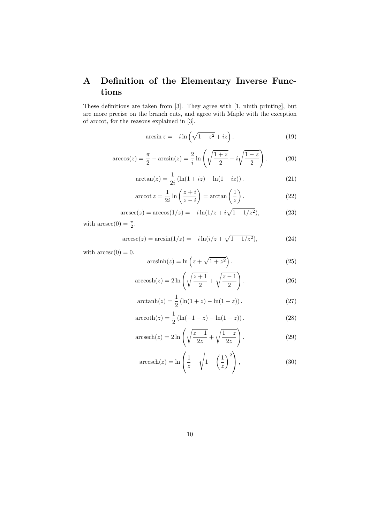# A Definition of the Elementary Inverse Functions

These definitions are taken from [3]. They agree with [1, ninth printing], but are more precise on the branch cuts, and agree with Maple with the exception of arccot, for the reasons explained in [3].

$$
\arcsin z = -i \ln \left( \sqrt{1 - z^2} + iz \right). \tag{19}
$$

$$
\arccos(z) = \frac{\pi}{2} - \arcsin(z) = \frac{2}{i} \ln \left( \sqrt{\frac{1+z}{2}} + i\sqrt{\frac{1-z}{2}} \right).
$$
 (20)

$$
\arctan(z) = \frac{1}{2i} \left( \ln(1+iz) - \ln(1-iz) \right). \tag{21}
$$

$$
\operatorname{arccot} z = \frac{1}{2i} \ln \left( \frac{z+i}{z-i} \right) = \arctan \left( \frac{1}{z} \right). \tag{22}
$$

$$
\arcsc(z) = \arccos(1/z) = -i\ln(1/z + i\sqrt{1 - 1/z^2}),\tag{23}
$$

with  $\operatorname{arcsec}(0) = \frac{\pi}{2}$ .

$$
\arccsc(z) = \arcsin(1/z) = -i\ln(i/z + \sqrt{1 - 1/z^2}),\tag{24}
$$

with  $\arccsc(0) = 0$ .

$$
\operatorname{arcsinh}(z) = \ln\left(z + \sqrt{1 + z^2}\right). \tag{25}
$$

$$
\operatorname{arccosh}(z) = 2\ln\left(\sqrt{\frac{z+1}{2}} + \sqrt{\frac{z-1}{2}}\right). \tag{26}
$$

$$
\operatorname{arctanh}(z) = \frac{1}{2} \left( \ln(1+z) - \ln(1-z) \right). \tag{27}
$$

$$
\operatorname{arccoth}(z) = \frac{1}{2} \left( \ln(-1 - z) - \ln(1 - z) \right). \tag{28}
$$

$$
\operatorname{arcsech}(z) = 2\ln\left(\sqrt{\frac{z+1}{2z}} + \sqrt{\frac{1-z}{2z}}\right). \tag{29}
$$

$$
\operatorname{arccsch}(z) = \ln\left(\frac{1}{z} + \sqrt{1 + \left(\frac{1}{z}\right)^2}\right),\tag{30}
$$